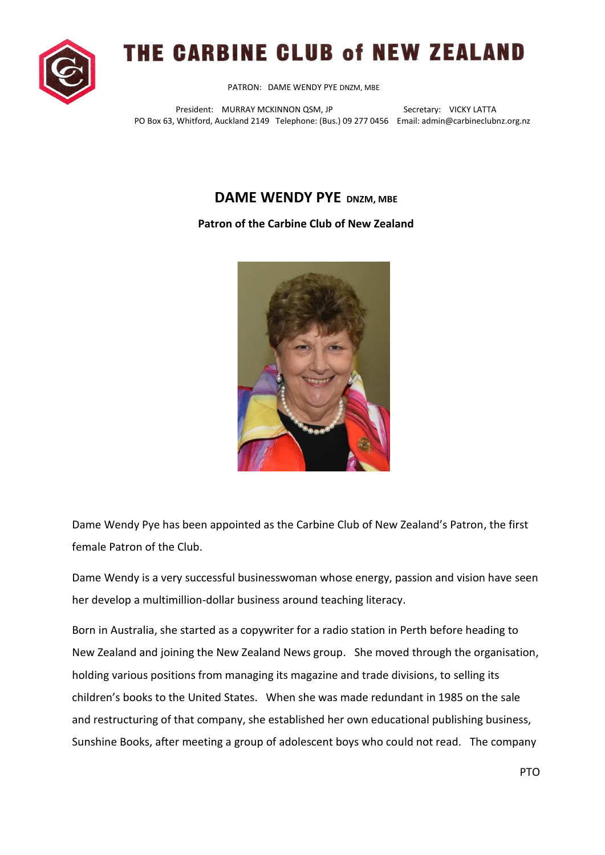

## THE CARBINE CLUB of NEW ZEALAND

PATRON: DAME WENDY PYE DNZM, MBE

President: MURRAY MCKINNON QSM, JP Secretary: VICKY LATTA PO Box 63, Whitford, Auckland 2149 Telephone: (Bus.) 09 277 0456 Email: admin@carbineclubnz.org.nz

## **DAME WENDY PYE DNZM, MBE**

## **Patron of the Carbine Club of New Zealand**



Dame Wendy Pye has been appointed as the Carbine Club of New Zealand's Patron, the first female Patron of the Club.

Dame Wendy is a very successful businesswoman whose energy, passion and vision have seen her develop a multimillion-dollar business around teaching literacy.

Born in Australia, she started as a copywriter for a radio station in Perth before heading to New Zealand and joining the New Zealand News group. She moved through the organisation, holding various positions from managing its magazine and trade divisions, to selling its children's books to the United States. When she was made redundant in 1985 on the sale and restructuring of that company, she established her own educational publishing business, Sunshine Books, after meeting a group of adolescent boys who could not read. The company